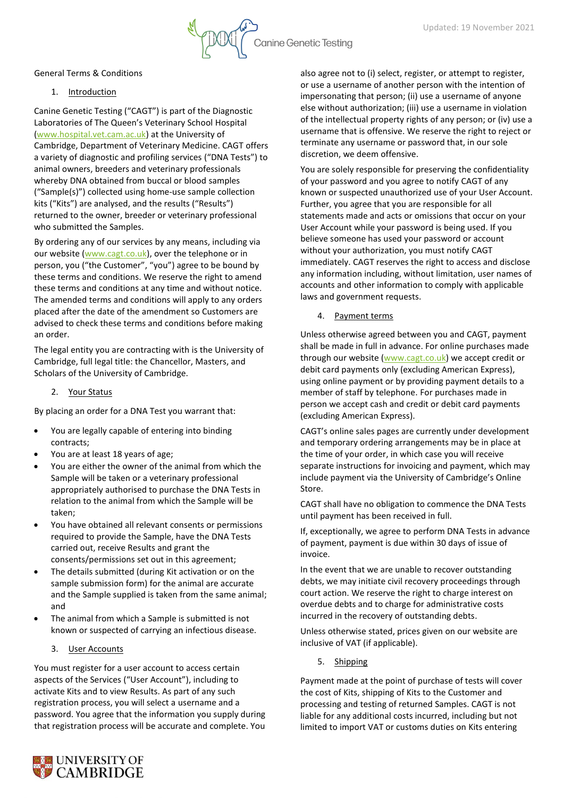General Terms & Conditions

### 1. Introduction

Canine Genetic Testing ("CAGT") is part of the Diagnostic Laboratories of The Queen's Veterinary School Hospital [\(www.hospital.vet.cam.ac.uk\)](https://www.hospital.vet.cam.ac.uk/) at the University of Cambridge, Department of Veterinary Medicine. CAGT offers a variety of diagnostic and profiling services ("DNA Tests") to animal owners, breeders and veterinary professionals whereby DNA obtained from buccal or blood samples ("Sample(s)") collected using home-use sample collection kits ("Kits") are analysed, and the results ("Results") returned to the owner, breeder or veterinary professional who submitted the Samples.

By ordering any of our services by any means, including via our website [\(www.cagt.co.uk\)](http://www.cagt.co.uk/), over the telephone or in person, you ("the Customer", "you") agree to be bound by these terms and conditions. We reserve the right to amend these terms and conditions at any time and without notice. The amended terms and conditions will apply to any orders placed after the date of the amendment so Customers are advised to check these terms and conditions before making an order.

The legal entity you are contracting with is the University of Cambridge, full legal title: the Chancellor, Masters, and Scholars of the University of Cambridge.

2. Your Status

By placing an order for a DNA Test you warrant that:

- You are legally capable of entering into binding contracts;
- You are at least 18 years of age;
- You are either the owner of the animal from which the Sample will be taken or a veterinary professional appropriately authorised to purchase the DNA Tests in relation to the animal from which the Sample will be taken;
- You have obtained all relevant consents or permissions required to provide the Sample, have the DNA Tests carried out, receive Results and grant the consents/permissions set out in this agreement;
- The details submitted (during Kit activation or on the sample submission form) for the animal are accurate and the Sample supplied is taken from the same animal; and
- The animal from which a Sample is submitted is not known or suspected of carrying an infectious disease.
	- 3. User Accounts

You must register for a user account to access certain aspects of the Services ("User Account"), including to activate Kits and to view Results. As part of any such registration process, you will select a username and a password. You agree that the information you supply during that registration process will be accurate and complete. You also agree not to (i) select, register, or attempt to register, or use a username of another person with the intention of impersonating that person; (ii) use a username of anyone else without authorization; (iii) use a username in violation of the intellectual property rights of any person; or (iv) use a username that is offensive. We reserve the right to reject or terminate any username or password that, in our sole discretion, we deem offensive.

You are solely responsible for preserving the confidentiality of your password and you agree to notify CAGT of any known or suspected unauthorized use of your User Account. Further, you agree that you are responsible for all statements made and acts or omissions that occur on your User Account while your password is being used. If you believe someone has used your password or account without your authorization, you must notify CAGT immediately. CAGT reserves the right to access and disclose any information including, without limitation, user names of accounts and other information to comply with applicable laws and government requests.

4. Payment terms

**Canine Genetic Testing** 

Unless otherwise agreed between you and CAGT, payment shall be made in full in advance. For online purchases made through our website [\(www.cagt.co.uk\)](http://www.cagt.co.uk/) we accept credit or debit card payments only (excluding American Express), using online payment or by providing payment details to a member of staff by telephone. For purchases made in person we accept cash and credit or debit card payments (excluding American Express).

CAGT's online sales pages are currently under development and temporary ordering arrangements may be in place at the time of your order, in which case you will receive separate instructions for invoicing and payment, which may include payment via the University of Cambridge's Online Store.

CAGT shall have no obligation to commence the DNA Tests until payment has been received in full.

If, exceptionally, we agree to perform DNA Tests in advance of payment, payment is due within 30 days of issue of invoice.

In the event that we are unable to recover outstanding debts, we may initiate civil recovery proceedings through court action. We reserve the right to charge interest on overdue debts and to charge for administrative costs incurred in the recovery of outstanding debts.

Unless otherwise stated, prices given on our website are inclusive of VAT (if applicable).

5. Shipping

Payment made at the point of purchase of tests will cover the cost of Kits, shipping of Kits to the Customer and processing and testing of returned Samples. CAGT is not liable for any additional costs incurred, including but not limited to import VAT or customs duties on Kits entering

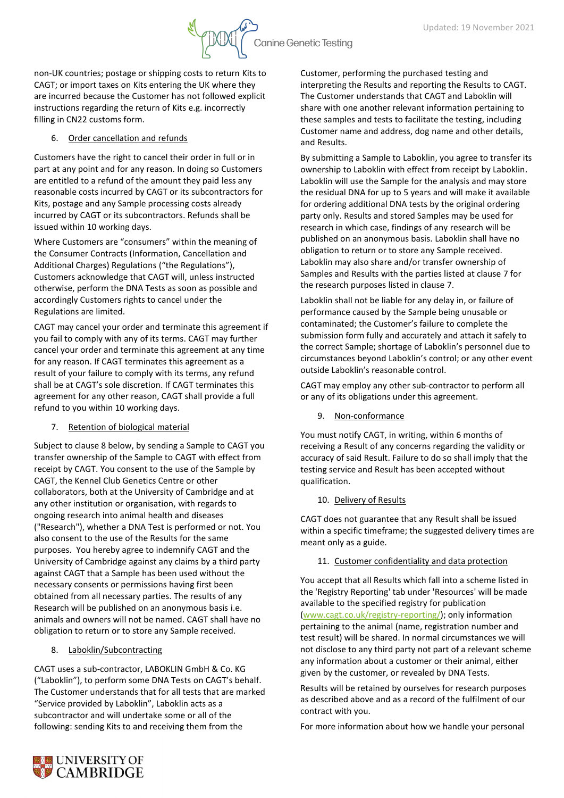

non-UK countries; postage or shipping costs to return Kits to CAGT; or import taxes on Kits entering the UK where they are incurred because the Customer has not followed explicit instructions regarding the return of Kits e.g. incorrectly filling in CN22 customs form.

## 6. Order cancellation and refunds

Customers have the right to cancel their order in full or in part at any point and for any reason. In doing so Customers are entitled to a refund of the amount they paid less any reasonable costs incurred by CAGT or its subcontractors for Kits, postage and any Sample processing costs already incurred by CAGT or its subcontractors. Refunds shall be issued within 10 working days.

Where Customers are "consumers" within the meaning of the Consumer Contracts (Information, Cancellation and Additional Charges) Regulations ("the Regulations"), Customers acknowledge that CAGT will, unless instructed otherwise, perform the DNA Tests as soon as possible and accordingly Customers rights to cancel under the Regulations are limited.

CAGT may cancel your order and terminate this agreement if you fail to comply with any of its terms. CAGT may further cancel your order and terminate this agreement at any time for any reason. If CAGT terminates this agreement as a result of your failure to comply with its terms, any refund shall be at CAGT's sole discretion. If CAGT terminates this agreement for any other reason, CAGT shall provide a full refund to you within 10 working days.

7. Retention of biological material

Subject to clause 8 below, by sending a Sample to CAGT you transfer ownership of the Sample to CAGT with effect from receipt by CAGT. You consent to the use of the Sample by CAGT, the Kennel Club Genetics Centre or other collaborators, both at the University of Cambridge and at any other institution or organisation, with regards to ongoing research into animal health and diseases ("Research"), whether a DNA Test is performed or not. You also consent to the use of the Results for the same purposes. You hereby agree to indemnify CAGT and the University of Cambridge against any claims by a third party against CAGT that a Sample has been used without the necessary consents or permissions having first been obtained from all necessary parties. The results of any Research will be published on an anonymous basis i.e. animals and owners will not be named. CAGT shall have no obligation to return or to store any Sample received.

# 8. Laboklin/Subcontracting

CAGT uses a sub-contractor, LABOKLIN GmbH & Co. KG ("Laboklin"), to perform some DNA Tests on CAGT's behalf. The Customer understands that for all tests that are marked "Service provided by Laboklin", Laboklin acts as a subcontractor and will undertake some or all of the following: sending Kits to and receiving them from the

Customer, performing the purchased testing and interpreting the Results and reporting the Results to CAGT. The Customer understands that CAGT and Laboklin will share with one another relevant information pertaining to these samples and tests to facilitate the testing, including Customer name and address, dog name and other details, and Results.

By submitting a Sample to Laboklin, you agree to transfer its ownership to Laboklin with effect from receipt by Laboklin. Laboklin will use the Sample for the analysis and may store the residual DNA for up to 5 years and will make it available for ordering additional DNA tests by the original ordering party only. Results and stored Samples may be used for research in which case, findings of any research will be published on an anonymous basis. Laboklin shall have no obligation to return or to store any Sample received. Laboklin may also share and/or transfer ownership of Samples and Results with the parties listed at clause 7 for the research purposes listed in clause 7.

Laboklin shall not be liable for any delay in, or failure of performance caused by the Sample being unusable or contaminated; the Customer's failure to complete the submission form fully and accurately and attach it safely to the correct Sample; shortage of Laboklin's personnel due to circumstances beyond Laboklin's control; or any other event outside Laboklin's reasonable control.

CAGT may employ any other sub-contractor to perform all or any of its obligations under this agreement.

9. Non-conformance

You must notify CAGT, in writing, within 6 months of receiving a Result of any concerns regarding the validity or accuracy of said Result. Failure to do so shall imply that the testing service and Result has been accepted without qualification.

#### 10. Delivery of Results

CAGT does not guarantee that any Result shall be issued within a specific timeframe; the suggested delivery times are meant only as a guide.

# 11. Customer confidentiality and data protection

You accept that all Results which fall into a scheme listed in the 'Registry Reporting' tab under 'Resources' will be made available to the specified registry for publication [\(www.cagt.co.uk/registry-reporting/\)](https://www.cagt.co.uk/registry-reporting/); only information pertaining to the animal (name, registration number and test result) will be shared. In normal circumstances we will not disclose to any third party not part of a relevant scheme any information about a customer or their animal, either given by the customer, or revealed by DNA Tests.

Results will be retained by ourselves for research purposes as described above and as a record of the fulfilment of our contract with you.

For more information about how we handle your personal